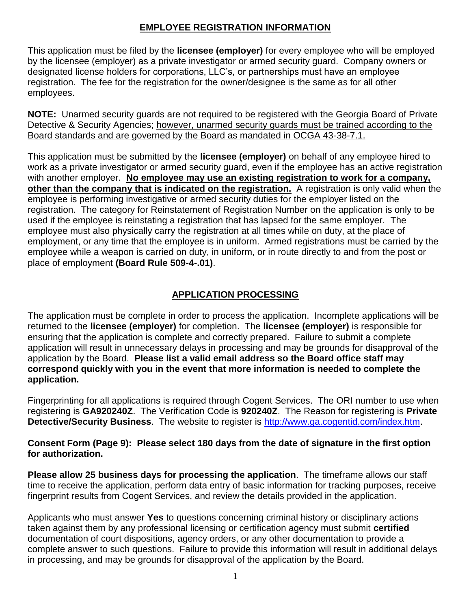# **EMPLOYEE REGISTRATION INFORMATION**

This application must be filed by the **licensee (employer)** for every employee who will be employed by the licensee (employer) as a private investigator or armed security guard. Company owners or designated license holders for corporations, LLC's, or partnerships must have an employee registration. The fee for the registration for the owner/designee is the same as for all other employees.

**NOTE:** Unarmed security guards are not required to be registered with the Georgia Board of Private Detective & Security Agencies; however, unarmed security guards must be trained according to the Board standards and are governed by the Board as mandated in OCGA 43-38-7.1.

This application must be submitted by the **licensee (employer)** on behalf of any employee hired to work as a private investigator or armed security guard, even if the employee has an active registration with another employer. **No employee may use an existing registration to work for a company, other than the company that is indicated on the registration.** A registration is only valid when the employee is performing investigative or armed security duties for the employer listed on the registration. The category for Reinstatement of Registration Number on the application is only to be used if the employee is reinstating a registration that has lapsed for the same employer. The employee must also physically carry the registration at all times while on duty, at the place of employment, or any time that the employee is in uniform. Armed registrations must be carried by the employee while a weapon is carried on duty, in uniform, or in route directly to and from the post or place of employment **(Board Rule 509-4-.01)**.

# **APPLICATION PROCESSING**

The application must be complete in order to process the application. Incomplete applications will be returned to the **licensee (employer)** for completion. The **licensee (employer)** is responsible for ensuring that the application is complete and correctly prepared. Failure to submit a complete application will result in unnecessary delays in processing and may be grounds for disapproval of the application by the Board. **Please list a valid email address so the Board office staff may correspond quickly with you in the event that more information is needed to complete the application.**

Fingerprinting for all applications is required through Cogent Services. The ORI number to use when registering is **GA920240Z**. The Verification Code is **920240Z**. The Reason for registering is **Private Detective/Security Business**. The website to register is [http://www.ga.cogentid.com/index.htm.](http://www.ga.cogentid.com/index.htm)

**Consent Form (Page 9): Please select 180 days from the date of signature in the first option for authorization.**

**Please allow 25 business days for processing the application**. The timeframe allows our staff time to receive the application, perform data entry of basic information for tracking purposes, receive fingerprint results from Cogent Services, and review the details provided in the application.

Applicants who must answer **Yes** to questions concerning criminal history or disciplinary actions taken against them by any professional licensing or certification agency must submit **certified** documentation of court dispositions, agency orders, or any other documentation to provide a complete answer to such questions. Failure to provide this information will result in additional delays in processing, and may be grounds for disapproval of the application by the Board.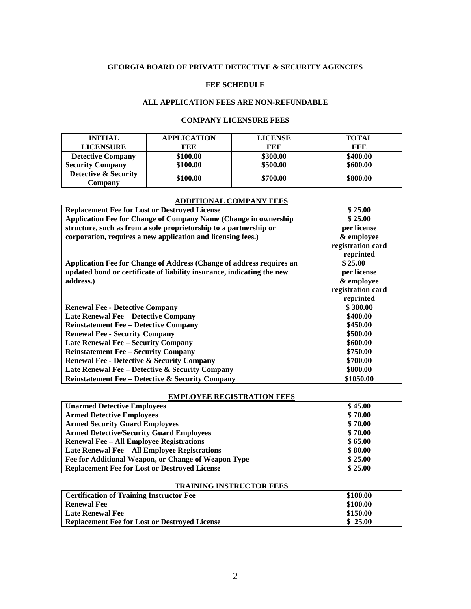#### **GEORGIA BOARD OF PRIVATE DETECTIVE & SECURITY AGENCIES**

#### **FEE SCHEDULE**

### **ALL APPLICATION FEES ARE NON-REFUNDABLE**

#### **COMPANY LICENSURE FEES**

| <b>INITIAL</b>           | <b>APPLICATION</b> | <b>LICENSE</b> | <b>TOTAL</b> |
|--------------------------|--------------------|----------------|--------------|
| <b>LICENSURE</b>         | FEE                | FEE            | FEE          |
| <b>Detective Company</b> | \$100.00           | \$300.00       | \$400.00     |
| <b>Security Company</b>  | \$100.00           | \$500.00       | \$600.00     |
| Detective & Security     |                    |                |              |
| Company                  | \$100.00           | \$700.00       | \$800.00     |

| <b>ADDITIONAL COMPANY FEES</b>                                         |                   |  |  |  |
|------------------------------------------------------------------------|-------------------|--|--|--|
| <b>Replacement Fee for Lost or Destroyed License</b>                   | \$25.00           |  |  |  |
| <b>Application Fee for Change of Company Name (Change in ownership</b> | \$25.00           |  |  |  |
| structure, such as from a sole proprietorship to a partnership or      | per license       |  |  |  |
| corporation, requires a new application and licensing fees.)           | & employee        |  |  |  |
|                                                                        | registration card |  |  |  |
|                                                                        | reprinted         |  |  |  |
| Application Fee for Change of Address (Change of address requires an   | \$25.00           |  |  |  |
| updated bond or certificate of liability insurance, indicating the new | per license       |  |  |  |
| address.)                                                              | & employee        |  |  |  |
|                                                                        | registration card |  |  |  |
|                                                                        | reprinted         |  |  |  |
| <b>Renewal Fee - Detective Company</b>                                 | \$300.00          |  |  |  |
| Late Renewal Fee – Detective Company                                   | \$400.00          |  |  |  |
| <b>Reinstatement Fee – Detective Company</b>                           | \$450.00          |  |  |  |
| <b>Renewal Fee - Security Company</b>                                  | \$500.00          |  |  |  |
| Late Renewal Fee – Security Company                                    | \$600.00          |  |  |  |
| <b>Reinstatement Fee – Security Company</b>                            | \$750.00          |  |  |  |
| <b>Renewal Fee - Detective &amp; Security Company</b>                  | \$700.00          |  |  |  |
| Late Renewal Fee - Detective & Security Company                        | \$800.00          |  |  |  |
| <b>Reinstatement Fee – Detective &amp; Security Company</b>            | \$1050.00         |  |  |  |

### **EMPLOYEE REGISTRATION FEES**

| <b>Unarmed Detective Employees</b>                   | \$45.00 |
|------------------------------------------------------|---------|
| <b>Armed Detective Employees</b>                     | \$70.00 |
| <b>Armed Security Guard Employees</b>                | \$70.00 |
| <b>Armed Detective/Security Guard Employees</b>      | \$70.00 |
| <b>Renewal Fee – All Employee Registrations</b>      | \$65.00 |
| Late Renewal Fee - All Employee Registrations        | \$80.00 |
| Fee for Additional Weapon, or Change of Weapon Type  | \$25.00 |
| <b>Replacement Fee for Lost or Destroyed License</b> | \$25.00 |

#### **TRAINING INSTRUCTOR FEES**

| <b>Certification of Training Instructor Fee</b>      | \$100.00 |
|------------------------------------------------------|----------|
| <b>Renewal Fee</b>                                   | \$100.00 |
| <b>Late Renewal Fee</b>                              | \$150.00 |
| <b>Replacement Fee for Lost or Destroyed License</b> | \$25.00  |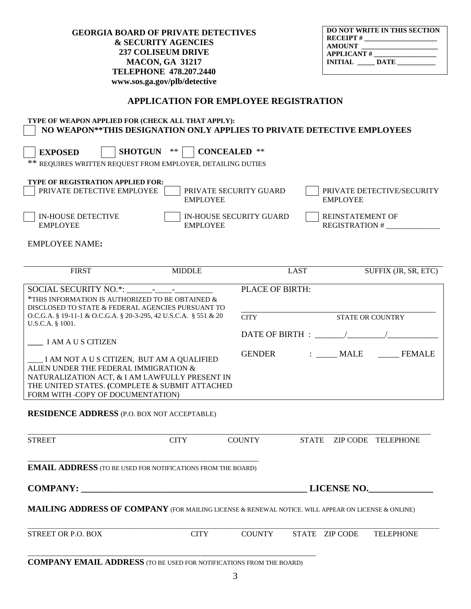| <b>GEORGIA BOARD OF PRIVATE DETECTIVES</b> |
|--------------------------------------------|
| <b>&amp; SECURITY AGENCIES</b>             |
| <b>237 COLISEUM DRIVE</b>                  |
| <b>MACON, GA 31217</b>                     |
| <b>TELEPHONE 478.207.2440</b>              |
| www.sos.ga.gov/plb/detective               |

| <b>DO NOT WRITE IN THIS SECTION</b> |
|-------------------------------------|
| RECEIPT $#$                         |
| <b>AMOUNT</b>                       |
| <b>APPLICANT#</b>                   |
| INITIAL DATE                        |
|                                     |

# **APPLICATION FOR EMPLOYEE REGISTRATION**

| TYPE OF WEAPON APPLIED FOR (CHECK ALL THAT APPLY):<br>NO WEAPON**THIS DESIGNATION ONLY APPLIES TO PRIVATE DETECTIVE EMPLOYEES                                                                                               |                                           |                                 |              |                         |                            |
|-----------------------------------------------------------------------------------------------------------------------------------------------------------------------------------------------------------------------------|-------------------------------------------|---------------------------------|--------------|-------------------------|----------------------------|
| <b>SHOTGUN</b><br><b>EXPOSED</b><br>** REQUIRES WRITTEN REQUEST FROM EMPLOYER, DETAILING DUTIES                                                                                                                             | $***$<br><b>CONCEALED **</b>              |                                 |              |                         |                            |
| <b>TYPE OF REGISTRATION APPLIED FOR:</b><br>PRIVATE DETECTIVE EMPLOYEE                                                                                                                                                      | PRIVATE SECURITY GUARD<br><b>EMPLOYEE</b> |                                 |              | <b>EMPLOYEE</b>         | PRIVATE DETECTIVE/SECURITY |
| <b>IN-HOUSE DETECTIVE</b><br><b>EMPLOYEE</b>                                                                                                                                                                                | <b>EMPLOYEE</b>                           | IN-HOUSE SECURITY GUARD         |              | <b>REINSTATEMENT OF</b> | <b>REGISTRATION #</b>      |
| <b>EMPLOYEE NAME:</b>                                                                                                                                                                                                       |                                           |                                 |              |                         |                            |
| <b>FIRST</b>                                                                                                                                                                                                                | <b>MIDDLE</b>                             |                                 | <b>LAST</b>  |                         | SUFFIX (JR, SR, ETC)       |
| *THIS INFORMATION IS AUTHORIZED TO BE OBTAINED &<br>DISCLOSED TO STATE & FEDERAL AGENCIES PURSUANT TO                                                                                                                       |                                           | PLACE OF BIRTH:                 |              |                         |                            |
| O.C.G.A. § 19-11-1 & O.C.G.A. § 20-3-295, 42 U.S.C.A. § 551 & 20<br>U.S.C.A. § 1001.                                                                                                                                        |                                           | <b>CITY</b>                     |              | <b>STATE OR COUNTRY</b> |                            |
| I AM A U S CITIZEN                                                                                                                                                                                                          |                                           | DATE OF BIRTH : $\frac{1}{2}$ / |              |                         |                            |
| I AM NOT A U S CITIZEN, BUT AM A QUALIFIED<br>ALIEN UNDER THE FEDERAL IMMIGRATION &<br>NATURALIZATION ACT, & I AM LAWFULLY PRESENT IN<br>THE UNITED STATES. (COMPLETE & SUBMIT ATTACHED<br>FORM WITH COPY OF DOCUMENTATION) |                                           | <b>GENDER</b>                   |              | : MALE                  | <b>FEMALE</b>              |
| <b>RESIDENCE ADDRESS</b> (P.O. BOX NOT ACCEPTABLE)                                                                                                                                                                          |                                           |                                 |              |                         |                            |
| <b>STREET</b>                                                                                                                                                                                                               | <b>CITY</b>                               | <b>COUNTY</b>                   | <b>STATE</b> |                         | ZIP CODE TELEPHONE         |
| <b>EMAIL ADDRESS</b> (TO BE USED FOR NOTIFICATIONS FROM THE BOARD)                                                                                                                                                          |                                           |                                 |              |                         |                            |
|                                                                                                                                                                                                                             |                                           |                                 |              |                         | LICENSE NO.                |
| MAILING ADDRESS OF COMPANY (FOR MAILING LICENSE & RENEWAL NOTICE. WILL APPEAR ON LICENSE & ONLINE)                                                                                                                          |                                           |                                 |              |                         |                            |
| STREET OR P.O. BOX                                                                                                                                                                                                          | <b>CITY</b>                               | <b>COUNTY</b>                   |              | STATE ZIP CODE          | <b>TELEPHONE</b>           |

**COMPANY EMAIL ADDRESS** (TO BE USED FOR NOTIFICATIONS FROM THE BOARD)

\_\_\_\_\_\_\_\_\_\_\_\_\_\_\_\_\_\_\_\_\_\_\_\_\_\_\_\_\_\_\_\_\_\_\_\_\_\_\_\_\_\_\_\_\_\_\_\_\_\_\_\_\_\_\_\_\_\_\_\_\_\_\_\_\_\_\_\_\_\_\_\_\_\_\_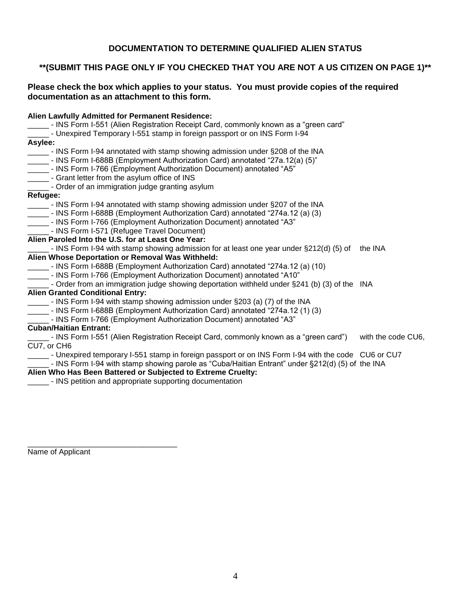# **DOCUMENTATION TO DETERMINE QUALIFIED ALIEN STATUS**

# **\*\*(SUBMIT THIS PAGE ONLY IF YOU CHECKED THAT YOU ARE NOT A US CITIZEN ON PAGE 1)\*\***

### **Please check the box which applies to your status. You must provide copies of the required documentation as an attachment to this form.**

#### **Alien Lawfully Admitted for Permanent Residence:**

- INS Form I-551 (Alien Registration Receipt Card, commonly known as a "green card"

- Unexpired Temporary I-551 stamp in foreign passport or on INS Form I-94

#### **Asylee:**

- \_\_\_\_ INS Form I-94 annotated with stamp showing admission under §208 of the INA
- \_\_\_\_\_ INS Form I-688B (Employment Authorization Card) annotated "27a.12(a) (5)"
- \_\_\_\_\_ INS Form I-766 (Employment Authorization Document) annotated "A5"
- **\_\_\_\_** Grant letter from the asylum office of INS
- Order of an immigration judge granting asylum

#### **Refugee:**

- \_\_\_\_\_ INS Form I-94 annotated with stamp showing admission under §207 of the INA
- \_\_\_\_\_ INS Form I-688B (Employment Authorization Card) annotated "274a.12 (a) (3)
- \_\_\_\_\_ INS Form I-766 (Employment Authorization Document) annotated "A3"
- INS Form I-571 (Refugee Travel Document)

# **Alien Paroled Into the U.S. for at Least One Year:**

- INS Form I-94 with stamp showing admission for at least one year under §212(d) (5) of the INA

## **Alien Whose Deportation or Removal Was Withheld:**

- \_\_\_\_\_ INS Form I-688B (Employment Authorization Card) annotated "274a.12 (a) (10)
- \_\_\_\_\_ INS Form I-766 (Employment Authorization Document) annotated "A10"
- Order from an immigration judge showing deportation withheld under §241 (b) (3) of the INA

### **Alien Granted Conditional Entry:**

- \_\_\_\_\_ INS Form I-94 with stamp showing admission under §203 (a) (7) of the INA
- \_\_\_\_\_ INS Form I-688B (Employment Authorization Card) annotated "274a.12 (1) (3)
- \_\_\_\_\_ INS Form I-766 (Employment Authorization Document) annotated "A3"

### **Cuban/Haitian Entrant:**

|             | - INS Form I-551 (Alien Registration Receipt Card, commonly known as a "green card") | with the code CU6, |
|-------------|--------------------------------------------------------------------------------------|--------------------|
| CU7, or CH6 |                                                                                      |                    |

- \_\_\_\_\_ Unexpired temporary I-551 stamp in foreign passport or on INS Form I-94 with the code CU6 or CU7
	- INS Form I-94 with stamp showing parole as "Cuba/Haitian Entrant" under §212(d) (5) of the INA

# **Alien Who Has Been Battered or Subjected to Extreme Cruelty:**

**ICCL** - INS petition and appropriate supporting documentation

\_\_\_\_\_\_\_\_\_\_\_\_\_\_\_\_\_\_\_\_\_\_\_\_\_\_\_\_\_\_\_\_\_\_\_ Name of Applicant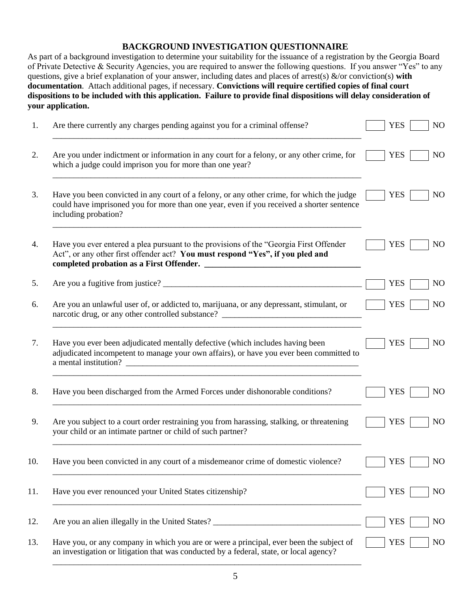# **BACKGROUND INVESTIGATION QUESTIONNAIRE**

As part of a background investigation to determine your suitability for the issuance of a registration by the Georgia Board of Private Detective & Security Agencies, you are required to answer the following questions. If you answer "Yes" to any questions, give a brief explanation of your answer, including dates and places of arrest(s) &/or conviction(s) **with documentation**. Attach additional pages, if necessary. **Convictions will require certified copies of final court dispositions to be included with this application. Failure to provide final dispositions will delay consideration of your application.**

| Are there currently any charges pending against you for a criminal offense?                                                                                                                                    | <b>YES</b><br>NO             |
|----------------------------------------------------------------------------------------------------------------------------------------------------------------------------------------------------------------|------------------------------|
| Are you under indictment or information in any court for a felony, or any other crime, for<br>which a judge could imprison you for more than one year?                                                         | <b>YES</b><br>N <sub>O</sub> |
| Have you been convicted in any court of a felony, or any other crime, for which the judge<br>could have imprisoned you for more than one year, even if you received a shorter sentence<br>including probation? | <b>YES</b><br>NO.            |
| Have you ever entered a plea pursuant to the provisions of the "Georgia First Offender<br>Act", or any other first offender act? You must respond "Yes", if you pled and                                       | <b>YES</b><br>N <sub>O</sub> |
|                                                                                                                                                                                                                | YES<br>N <sub>O</sub>        |
| Are you an unlawful user of, or addicted to, marijuana, or any depressant, stimulant, or<br>narcotic drug, or any other controlled substance? _______________________________                                  | <b>YES</b><br>N <sub>O</sub> |
| Have you ever been adjudicated mentally defective (which includes having been<br>adjudicated incompetent to manage your own affairs), or have you ever been committed to<br>a mental institution?              | <b>YES</b><br>NO             |
| Have you been discharged from the Armed Forces under dishonorable conditions?                                                                                                                                  | <b>YES</b><br>N <sub>O</sub> |
| Are you subject to a court order restraining you from harassing, stalking, or threatening<br>your child or an intimate partner or child of such partner?                                                       | <b>YES</b><br>NO             |
| Have you been convicted in any court of a misdemeanor crime of domestic violence?                                                                                                                              | YES<br>NO                    |
| Have you ever renounced your United States citizenship?                                                                                                                                                        | <b>YES</b><br>NO             |
| Are you an alien illegally in the United States? ________________________________                                                                                                                              | <b>YES</b><br>NO             |
| Have you, or any company in which you are or were a principal, ever been the subject of<br>an investigation or litigation that was conducted by a federal, state, or local agency?                             | <b>YES</b><br>N <sub>O</sub> |

\_\_\_\_\_\_\_\_\_\_\_\_\_\_\_\_\_\_\_\_\_\_\_\_\_\_\_\_\_\_\_\_\_\_\_\_\_\_\_\_\_\_\_\_\_\_\_\_\_\_\_\_\_\_\_\_\_\_\_\_\_\_\_\_\_\_\_\_\_\_\_\_\_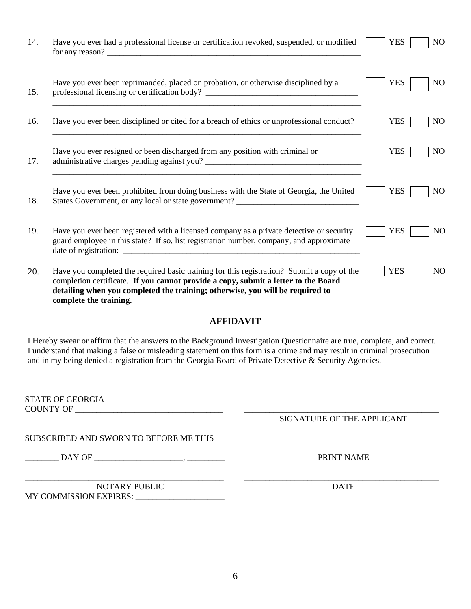| 14. | Have you ever had a professional license or certification revoked, suspended, or modified<br>for any reason? $\frac{1}{\sqrt{1-\frac{1}{2}}\left(\frac{1}{2}-\frac{1}{2}\right)}$                                                                                                           | <b>YES</b> | N <sub>O</sub> |
|-----|---------------------------------------------------------------------------------------------------------------------------------------------------------------------------------------------------------------------------------------------------------------------------------------------|------------|----------------|
| 15. | Have you ever been reprimanded, placed on probation, or otherwise disciplined by a<br>professional licensing or certification body? __________________________________                                                                                                                      | <b>YES</b> | N <sub>O</sub> |
| 16. | Have you ever been disciplined or cited for a breach of ethics or unprofessional conduct?                                                                                                                                                                                                   | <b>YES</b> | N <sub>O</sub> |
| 17. | Have you ever resigned or been discharged from any position with criminal or<br>administrative charges pending against you?                                                                                                                                                                 | <b>YES</b> | NO.            |
| 18. | Have you ever been prohibited from doing business with the State of Georgia, the United<br>States Government, or any local or state government? ____________________________                                                                                                                | <b>YES</b> | N <sub>O</sub> |
| 19. | Have you ever been registered with a licensed company as a private detective or security<br>guard employee in this state? If so, list registration number, company, and approximate<br>date of registration:                                                                                | <b>YES</b> | NO.            |
| 20. | Have you completed the required basic training for this registration? Submit a copy of the<br>completion certificate. If you cannot provide a copy, submit a letter to the Board<br>detailing when you completed the training; otherwise, you will be required to<br>complete the training. | <b>YES</b> | N <sub>O</sub> |

# **AFFIDAVIT**

I Hereby swear or affirm that the answers to the Background Investigation Questionnaire are true, complete, and correct. I understand that making a false or misleading statement on this form is a crime and may result in criminal prosecution and in my being denied a registration from the Georgia Board of Private Detective & Security Agencies.

STATE OF GEORGIA COUNTY OF \_\_\_\_\_\_\_\_\_\_\_\_\_\_\_\_\_\_\_\_\_\_\_\_\_\_\_\_\_\_\_\_\_\_\_ \_\_\_\_\_\_\_\_\_\_\_\_\_\_\_\_\_\_\_\_\_\_\_\_\_\_\_\_\_\_\_\_\_\_\_\_\_\_\_\_\_\_\_\_\_\_

SIGNATURE OF THE APPLICANT

SUBSCRIBED AND SWORN TO BEFORE ME THIS

\_\_\_\_\_\_\_\_ DAY OF \_\_\_\_\_\_\_\_\_\_\_\_\_\_\_\_\_\_\_\_\_, \_\_\_\_\_\_\_\_\_ PRINT NAME

\_\_\_\_\_\_\_\_\_\_\_\_\_\_\_\_\_\_\_\_\_\_\_\_\_\_\_\_\_\_\_\_\_\_\_\_\_\_\_\_\_\_\_\_\_\_\_ \_\_\_\_\_\_\_\_\_\_\_\_\_\_\_\_\_\_\_\_\_\_\_\_\_\_\_\_\_\_\_\_\_\_\_\_\_\_\_\_\_\_\_\_\_\_ NOTARY PUBLIC MY COMMISSION EXPIRES: \_\_\_\_\_\_\_\_\_\_\_\_\_\_\_\_\_\_\_\_\_

\_\_\_\_\_\_\_\_\_\_\_\_\_\_\_\_\_\_\_\_\_\_\_\_\_\_\_\_\_\_\_\_\_\_\_\_\_\_\_\_\_\_\_\_\_\_

DATE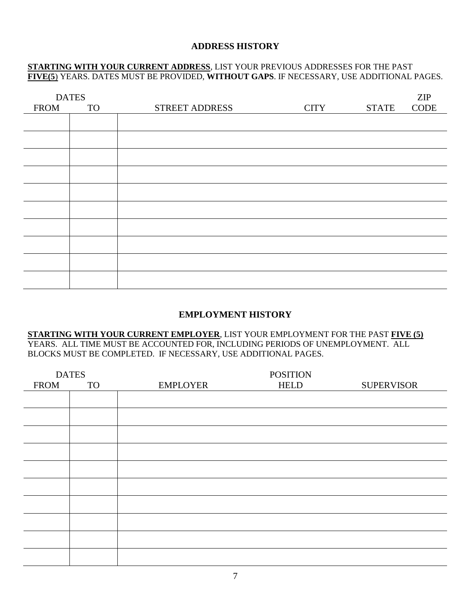## **ADDRESS HISTORY**

## **STARTING WITH YOUR CURRENT ADDRESS**, LIST YOUR PREVIOUS ADDRESSES FOR THE PAST **FIVE(5**) YEARS. DATES MUST BE PROVIDED, **WITHOUT GAPS**. IF NECESSARY, USE ADDITIONAL PAGES.

|             | <b>DATES</b> |                |             |              | <b>ZIP</b> |
|-------------|--------------|----------------|-------------|--------------|------------|
| <b>FROM</b> | <b>TO</b>    | STREET ADDRESS | <b>CITY</b> | <b>STATE</b> | CODE       |
|             |              |                |             |              |            |
|             |              |                |             |              |            |
|             |              |                |             |              |            |
|             |              |                |             |              |            |
|             |              |                |             |              |            |
|             |              |                |             |              |            |
|             |              |                |             |              |            |
|             |              |                |             |              |            |
|             |              |                |             |              |            |
|             |              |                |             |              |            |
|             |              |                |             |              |            |
|             |              |                |             |              |            |

# **EMPLOYMENT HISTORY**

**STARTING WITH YOUR CURRENT EMPLOYER**, LIST YOUR EMPLOYMENT FOR THE PAST **FIVE (5)**  YEARS. ALL TIME MUST BE ACCOUNTED FOR, INCLUDING PERIODS OF UNEMPLOYMENT. ALL BLOCKS MUST BE COMPLETED. IF NECESSARY, USE ADDITIONAL PAGES.

|             | <b>DATES</b> | <b>POSITION</b> |             |                   |
|-------------|--------------|-----------------|-------------|-------------------|
| <b>FROM</b> | <b>TO</b>    | <b>EMPLOYER</b> | <b>HELD</b> | <b>SUPERVISOR</b> |
|             |              |                 |             |                   |
|             |              |                 |             |                   |
|             |              |                 |             |                   |
|             |              |                 |             |                   |
|             |              |                 |             |                   |
|             |              |                 |             |                   |
|             |              |                 |             |                   |
|             |              |                 |             |                   |
|             |              |                 |             |                   |
|             |              |                 |             |                   |
|             |              |                 |             |                   |
|             |              |                 |             |                   |
|             |              |                 |             |                   |
|             |              |                 |             |                   |
|             |              |                 |             |                   |
|             |              |                 |             |                   |
|             |              |                 |             |                   |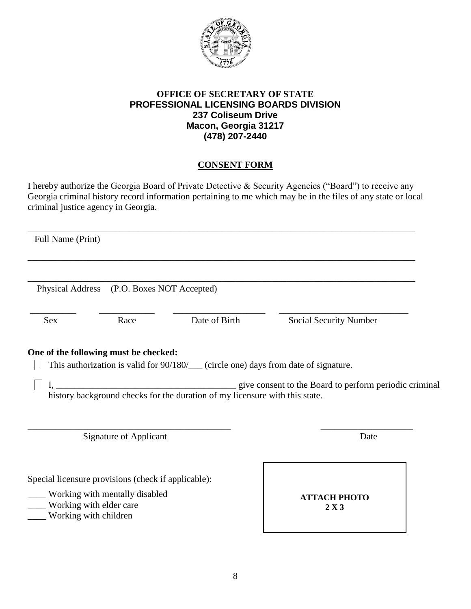

# **OFFICE OF SECRETARY OF STATE PROFESSIONAL LICENSING BOARDS DIVISION 237 Coliseum Drive Macon, Georgia 31217 (478) 207-2440**

# **CONSENT FORM**

I hereby authorize the Georgia Board of Private Detective & Security Agencies ("Board") to receive any Georgia criminal history record information pertaining to me which may be in the files of any state or local criminal justice agency in Georgia.

| Full Name (Print) |                                                                                                                                           |                                                                                                                                                                    |                                                        |  |  |
|-------------------|-------------------------------------------------------------------------------------------------------------------------------------------|--------------------------------------------------------------------------------------------------------------------------------------------------------------------|--------------------------------------------------------|--|--|
|                   | Physical Address (P.O. Boxes NOT Accepted)                                                                                                |                                                                                                                                                                    |                                                        |  |  |
| <b>Sex</b>        | Race                                                                                                                                      | Date of Birth                                                                                                                                                      | <b>Social Security Number</b>                          |  |  |
|                   | One of the following must be checked:                                                                                                     | This authorization is valid for 90/180/__ (circle one) days from date of signature.<br>history background checks for the duration of my licensure with this state. | give consent to the Board to perform periodic criminal |  |  |
|                   | <b>Signature of Applicant</b>                                                                                                             |                                                                                                                                                                    | Date                                                   |  |  |
|                   | Special licensure provisions (check if applicable):<br>Working with mentally disabled<br>Working with elder care<br>Working with children |                                                                                                                                                                    | АТТАСН РНОТО<br>2 X 3                                  |  |  |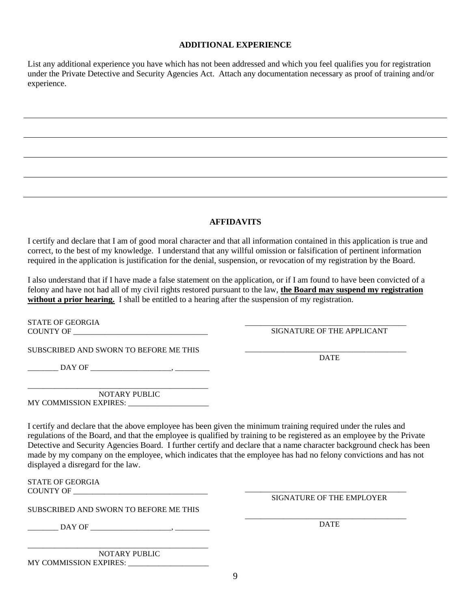### **ADDITIONAL EXPERIENCE**

List any additional experience you have which has not been addressed and which you feel qualifies you for registration under the Private Detective and Security Agencies Act. Attach any documentation necessary as proof of training and/or experience.

## **AFFIDAVITS**

I certify and declare that I am of good moral character and that all information contained in this application is true and correct, to the best of my knowledge. I understand that any willful omission or falsification of pertinent information required in the application is justification for the denial, suspension, or revocation of my registration by the Board.

I also understand that if I have made a false statement on the application, or if I am found to have been convicted of a felony and have not had all of my civil rights restored pursuant to the law, **the Board may suspend my registration without a prior hearing.** I shall be entitled to a hearing after the suspension of my registration.

STATE OF GEORGIA COUNTY OF \_\_\_\_\_\_\_\_\_\_\_\_\_\_\_\_\_\_\_\_\_\_\_\_\_\_\_\_\_\_\_\_\_\_\_

SUBSCRIBED AND SWORN TO BEFORE ME THIS

\_\_\_\_\_\_\_\_ DAY OF \_\_\_\_\_\_\_\_\_\_\_\_\_\_\_\_\_\_\_\_\_, \_\_\_\_\_\_\_\_\_

\_\_\_\_\_\_\_\_\_\_\_\_\_\_\_\_\_\_\_\_\_\_\_\_\_\_\_\_\_\_\_\_\_\_\_\_\_\_\_\_\_\_\_\_\_\_\_ NOTARY PUBLIC MY COMMISSION EXPIRES:

I certify and declare that the above employee has been given the minimum training required under the rules and regulations of the Board, and that the employee is qualified by training to be registered as an employee by the Private Detective and Security Agencies Board. I further certify and declare that a name character background check has been made by my company on the employee, which indicates that the employee has had no felony convictions and has not displayed a disregard for the law.

STATE OF GEORGIA COUNTY OF \_\_\_\_\_\_\_\_\_\_\_\_\_\_\_\_\_\_\_\_\_\_\_\_\_\_\_\_\_\_\_\_\_\_\_

SUBSCRIBED AND SWORN TO BEFORE ME THIS

\_\_\_\_\_\_\_\_ DAY OF \_\_\_\_\_\_\_\_\_\_\_\_\_\_\_\_\_\_\_\_\_, \_\_\_\_\_\_\_\_\_

\_\_\_\_\_\_\_\_\_\_\_\_\_\_\_\_\_\_\_\_\_\_\_\_\_\_\_\_\_\_\_\_\_\_\_\_\_\_\_\_\_\_

\_\_\_\_\_\_\_\_\_\_\_\_\_\_\_\_\_\_\_\_\_\_\_\_\_\_\_\_\_\_\_\_\_\_\_\_\_\_\_\_\_\_ SIGNATURE OF THE EMPLOYER

DATE

| NOTARY PUBLIC          |  |
|------------------------|--|
| MY COMMISSION EXPIRES: |  |

9

\_\_\_\_\_\_\_\_\_\_\_\_\_\_\_\_\_\_\_\_\_\_\_\_\_\_\_\_\_\_\_\_\_\_\_\_\_\_\_\_\_\_ SIGNATURE OF THE APPLICANT

\_\_\_\_\_\_\_\_\_\_\_\_\_\_\_\_\_\_\_\_\_\_\_\_\_\_\_\_\_\_\_\_\_\_\_\_\_\_\_\_\_\_ DATE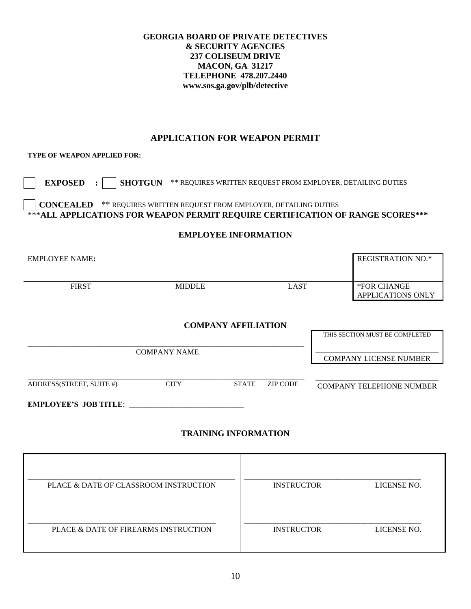## **GEORGIA BOARD OF PRIVATE DETECTIVES & SECURITY AGENCIES 237 COLISEUM DRIVE MACON, GA 31217 TELEPHONE 478.207.2440 www.sos.ga.gov/plb/detective**

# **APPLICATION FOR WEAPON PERMIT**

**TYPE OF WEAPON APPLIED FOR:**

**EXPOSED : SHOTGUN** \*\* REQUIRES WRITTEN REQUEST FROM EMPLOYER, DETAILING DUTIES

\*\*\***ALL APPLICATIONS FOR WEAPON PERMIT REQUIRE CERTIFICATION OF RANGE SCORES\*\*\* CONCEALED** \*\* REQUIRES WRITTEN REQUEST FROM EMPLOYER, DETAILING DUTIES

### **EMPLOYEE INFORMATION**

| <b>EMPLOYEE NAME:</b>                             |                     |              |                   |  | <b>REGISTRATION NO.*</b>                                        |  |  |  |  |
|---------------------------------------------------|---------------------|--------------|-------------------|--|-----------------------------------------------------------------|--|--|--|--|
| <b>FIRST</b><br><b>MIDDLE</b>                     |                     |              | <b>LAST</b>       |  | *FOR CHANGE<br>APPLICATIONS ONLY                                |  |  |  |  |
| <b>COMPANY AFFILIATION</b>                        |                     |              |                   |  |                                                                 |  |  |  |  |
|                                                   | <b>COMPANY NAME</b> |              |                   |  | THIS SECTION MUST BE COMPLETED<br><b>COMPANY LICENSE NUMBER</b> |  |  |  |  |
| ADDRESS(STREET, SUITE #)<br>EMPLOYEE'S JOB TITLE: | <b>CITY</b>         | <b>STATE</b> | <b>ZIP CODE</b>   |  | <b>COMPANY TELEPHONE NUMBER</b>                                 |  |  |  |  |
| <b>TRAINING INFORMATION</b>                       |                     |              |                   |  |                                                                 |  |  |  |  |
|                                                   |                     |              |                   |  |                                                                 |  |  |  |  |
| PLACE & DATE OF CLASSROOM INSTRUCTION             |                     |              | <b>INSTRUCTOR</b> |  | LICENSE NO.                                                     |  |  |  |  |
| PLACE & DATE OF FIREARMS INSTRUCTION              |                     |              | <b>INSTRUCTOR</b> |  | LICENSE NO.                                                     |  |  |  |  |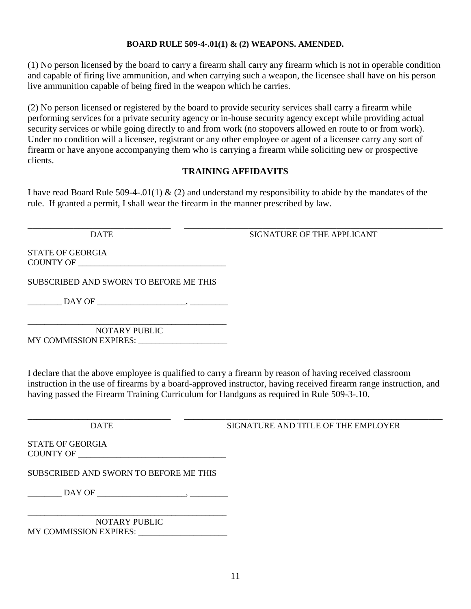## **BOARD RULE 509-4-.01(1) & (2) WEAPONS. AMENDED.**

(1) No person licensed by the board to carry a firearm shall carry any firearm which is not in operable condition and capable of firing live ammunition, and when carrying such a weapon, the licensee shall have on his person live ammunition capable of being fired in the weapon which he carries.

(2) No person licensed or registered by the board to provide security services shall carry a firearm while performing services for a private security agency or in-house security agency except while providing actual security services or while going directly to and from work (no stopovers allowed en route to or from work). Under no condition will a licensee, registrant or any other employee or agent of a licensee carry any sort of firearm or have anyone accompanying them who is carrying a firearm while soliciting new or prospective clients.

# **TRAINING AFFIDAVITS**

I have read Board Rule 509-4-.01(1)  $\&$  (2) and understand my responsibility to abide by the mandates of the rule. If granted a permit, I shall wear the firearm in the manner prescribed by law.

\_\_\_\_\_\_\_\_\_\_\_\_\_\_\_\_\_\_\_\_\_\_\_\_\_\_\_\_\_\_\_ DATE

\_\_\_\_\_\_\_\_\_\_\_\_\_\_\_\_\_\_\_\_\_\_\_\_\_\_\_\_\_\_\_\_\_\_\_\_\_\_\_\_\_\_\_\_\_\_\_\_\_\_\_\_\_\_\_\_ SIGNATURE OF THE APPLICANT

STATE OF GEORGIA COUNTY OF \_\_\_\_\_\_\_\_\_\_\_\_\_\_\_\_\_\_\_\_\_\_\_\_\_\_\_\_\_\_\_\_\_\_\_

SUBSCRIBED AND SWORN TO BEFORE ME THIS

\_\_\_\_\_\_\_\_ DAY OF \_\_\_\_\_\_\_\_\_\_\_\_\_\_\_\_\_\_\_\_\_, \_\_\_\_\_\_\_\_\_

\_\_\_\_\_\_\_\_\_\_\_\_\_\_\_\_\_\_\_\_\_\_\_\_\_\_\_\_\_\_\_\_\_\_\_\_\_\_\_\_\_\_\_\_\_\_\_ NOTARY PUBLIC MY COMMISSION EXPIRES:

I declare that the above employee is qualified to carry a firearm by reason of having received classroom instruction in the use of firearms by a board-approved instructor, having received firearm range instruction, and having passed the Firearm Training Curriculum for Handguns as required in Rule 509-3-.10.

\_\_\_\_\_\_\_\_\_\_\_\_\_\_\_\_\_\_\_\_\_\_\_\_\_\_\_\_\_\_\_ DATE

\_\_\_\_\_\_\_\_\_\_\_\_\_\_\_\_\_\_\_\_\_\_\_\_\_\_\_\_\_\_\_\_\_\_\_\_\_\_\_\_\_\_\_\_\_\_\_\_\_\_\_\_\_\_\_\_ SIGNATURE AND TITLE OF THE EMPLOYER

STATE OF GEORGIA COUNTY OF

SUBSCRIBED AND SWORN TO BEFORE ME THIS

\_\_\_\_\_\_\_\_ DAY OF \_\_\_\_\_\_\_\_\_\_\_\_\_\_\_\_\_\_\_\_\_, \_\_\_\_\_\_\_\_\_

\_\_\_\_\_\_\_\_\_\_\_\_\_\_\_\_\_\_\_\_\_\_\_\_\_\_\_\_\_\_\_\_\_\_\_\_\_\_\_\_\_\_\_\_\_\_\_ NOTARY PUBLIC MY COMMISSION EXPIRES: \_\_\_\_\_\_\_\_\_\_\_\_\_\_\_\_\_\_\_\_\_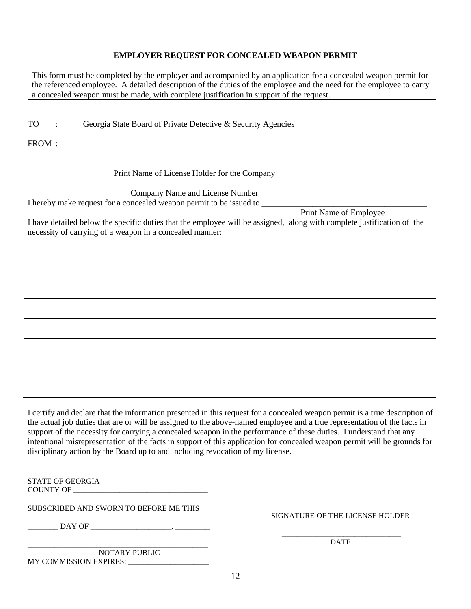### **EMPLOYER REQUEST FOR CONCEALED WEAPON PERMIT**

This form must be completed by the employer and accompanied by an application for a concealed weapon permit for the referenced employee. A detailed description of the duties of the employee and the need for the employee to carry a concealed weapon must be made, with complete justification in support of the request.

TO : Georgia State Board of Private Detective & Security Agencies

FROM :

Print Name of License Holder for the Company

I hereby make request for a concealed weapon permit to be issued to \_\_\_\_\_\_\_\_\_\_\_\_\_ Company Name and License Number

Print Name of Employee

I have detailed below the specific duties that the employee will be assigned, along with complete justification of the necessity of carrying of a weapon in a concealed manner:

I certify and declare that the information presented in this request for a concealed weapon permit is a true description of the actual job duties that are or will be assigned to the above-named employee and a true representation of the facts in support of the necessity for carrying a concealed weapon in the performance of these duties. I understand that any intentional misrepresentation of the facts in support of this application for concealed weapon permit will be grounds for disciplinary action by the Board up to and including revocation of my license.

STATE OF GEORGIA COUNTY OF \_\_\_\_\_\_\_\_\_\_\_\_\_\_\_\_\_\_\_\_\_\_\_\_\_\_\_\_\_\_\_\_\_\_\_

SUBSCRIBED AND SWORN TO BEFORE ME THIS

\_\_\_\_\_\_\_\_ DAY OF \_\_\_\_\_\_\_\_\_\_\_\_\_\_\_\_\_\_\_\_\_, \_\_\_\_\_\_\_\_\_

\_\_\_\_\_\_\_\_\_\_\_\_\_\_\_\_\_\_\_\_\_\_\_\_\_\_\_\_\_\_\_\_\_\_\_\_\_\_\_\_\_\_\_\_\_\_\_ SIGNATURE OF THE LICENSE HOLDER

> \_\_\_\_\_\_\_\_\_\_\_\_\_\_\_\_\_\_\_\_\_\_\_\_\_\_\_\_\_\_\_ DATE

\_\_\_\_\_\_\_\_\_\_\_\_\_\_\_\_\_\_\_\_\_\_\_\_\_\_\_\_\_\_\_\_\_\_\_\_\_\_\_\_\_\_\_\_\_\_\_ NOTARY PUBLIC MY COMMISSION EXPIRES: \_\_\_\_\_\_\_\_\_\_\_\_\_\_\_\_\_\_\_\_\_